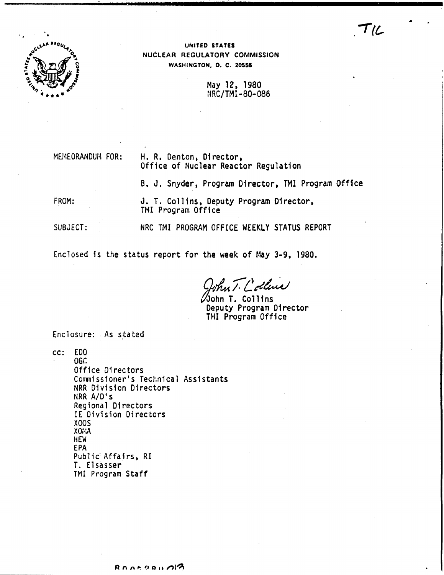

UNITED STATES NUCLEAR REGULATORY COMMISSION WASHINGTON, D. C. 20555

> May 12, 1980 NRC/TMI-80-086

TIL

MEMEORANDUM FOR:

## H. R. Denton, Director, Office of Nuclear Reactor Regulation

B. J. Snyder, Program Director, TMI Program Office

FROM:

J. T. Collins, Deputy Program Director, TMI Program Office

SUBJECT: NRC TMI PROGRAM OFFICE WEEKLY STATUS REPORT

Enclosed is the status report for the week of May 3-9, 1980.

hut Collins

John T. Collins Deputy Program Director TMI Program Office

Enclosure: As stated

cc: EDO

OGC. Office Directors Commissioner's Technical Assistants NRR Division Directors NRR A/D's Regional Directors IE Division Directors **X00S**  $XO: A$ **HEW EPA** Public Affairs, RI T. Elsasser TMI Program Staff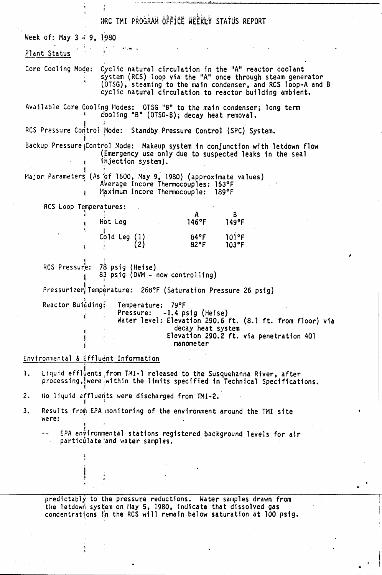|                             | HRC TMI PROGRAM OFFICE WEEKLY STATUS REPORT                                                                                                                                                                                                                       |
|-----------------------------|-------------------------------------------------------------------------------------------------------------------------------------------------------------------------------------------------------------------------------------------------------------------|
| Week of: May $3 - 9$ , 1980 |                                                                                                                                                                                                                                                                   |
| Plant Status                |                                                                                                                                                                                                                                                                   |
|                             | Core Cooling Mode: Cyclic natural circulation in the "A" reactor coolant<br>system (RCS) loop via the "A" once through steam generator<br>(OTSG), steaming to the main condenser, and RCS loop-A and B<br>cyclic natural circulation to reactor building ambient. |
|                             | Available Core Cooling Modes: OTSG "B" to the main condenser; long term<br>cooling "B" (OTSG-B); decay heat removal.                                                                                                                                              |
|                             | RCS Pressure Control Mode: Standby Pressure Control (SPC) System.                                                                                                                                                                                                 |
|                             | Backup Pressure Control Mode: Makeup system in conjunction with letdown flow<br>(Emergency use only due to suspected leaks in the seal<br>injection system).                                                                                                      |
|                             | Major Parameters (As of 1600, May 9, 1980) (approximate values)<br>Average Incore Thermocouples: 153°F<br>Maximum Incore Thermocouple: 189°F                                                                                                                      |
|                             | RCS Loop Temperatures:                                                                                                                                                                                                                                            |
|                             | A<br>B<br>$146^{\circ}$ F<br>Hot Leg<br>149°F                                                                                                                                                                                                                     |
|                             | 84°F 101°F<br>82°F 103°F<br>Cold Leg $\begin{Bmatrix} 1 \\ 2 \end{Bmatrix}$                                                                                                                                                                                       |
|                             | RCS Pressure: 78 psig (Heise)<br>83 psig (DVM - now controlling)                                                                                                                                                                                                  |
|                             | Pressurizer Temperature: 268°F (Saturation Pressure 26 psig)                                                                                                                                                                                                      |
|                             | Reactor Building: Temperature:<br>79°F<br>Pressure: -1.4 psig (Heise)<br>Water level: Elevation 290.6 ft. (8.1 ft. from floor) via<br>decay heat system<br>Elevation 290.2 ft. via penetration 401<br>manometer                                                   |
|                             | Environmental & Effluent Information                                                                                                                                                                                                                              |
| 1.                          | Liquid effluents from TMI-1 released to the Susquehanna River, after<br>processing, were within the limits specified in Technical Specifications.                                                                                                                 |
| 2.                          | No liquid effluents were discharged from TMI-2.                                                                                                                                                                                                                   |

 $3.$ Results from EPA monitoring of the environment around the TMI site were:

EPA environmental stations registered background levels for air particulate and water samples.

predictably to the pressure reductions. Water samples drawn from<br>the letdown system on May 5, 1980, indicate that dissolved gas<br>concentrations in the RCS will remain below saturation at 100 psig.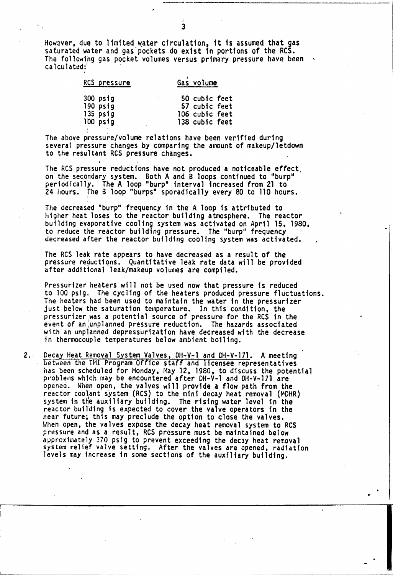However, due to limited water circulation, it is assumed that gas saturated water and gas' pockets do exist in portions of the RCS. The following gas pocket volumes versus primary pressure have been calculated: ,

;' 3

| RCS pressure | Gas volume     |
|--------------|----------------|
| 300 psig     | 50 cubic feet  |
| $190$ $psig$ | 57 cubic feet  |
| $135$ $psig$ | 106 cubic feet |
| 100 psig     | 138 cubic feet |

The above pressure/volume relations have been verified during several pressure changes by comparing the amount of makeup/letdown to the resultant RCS pressure changes.<br>.

The RCS pressure reductions have not produced a noticeable effect, on the secondary system. Both <sup>A</sup> and B loops continued to "burp" periodically. The A loop "burp~ interval increased from 21 to 24 hours. The B loop "burps" sporadically every 80 to 110 hours.

The decreased "burp" frequency in the A loop is attributed to higher heat loses to the reactor building atmosphere. The reactor building evaporative cooling system was activated on April 15, 1980, to reduce the reactor building pressure. The "burp" frequency decreased after the reactor building cooling system was activated.

The RCS leak rate appears to have decreased as a result of the pressure reductions. Quantitative leak rate data will be provided after additional leak/makeup volumes are compiled.

Pressurizer heaters will not be used now that pressure is reduced to 100 pstg. The cycling of the heaters produced pressure fluctuations. The heaters had been used to maintain the water in the pressurizer just below the saturation temperature. In this condition, the pressurizer was a potential source of pressure for the RCS in the event of an;unplanned pressure reduction. The hazards associated with an unplanned depressurization have decreased with the decrease in thermocouple temperatures below ambient boiling.

2. Decay Heat Removal System Valves, DH-V-1 and DH-V-171. A meeting between the TMI Program Office staff and licensee representatives has been scheduled for Monday, May 12, 1980. to discuss the potential problems which may be encountered after DH-V-l and DH-V-171 are opened. When open. the valves will provide a flow path from the reactor coolant system (RCS) to the mini decay heat removal (MDHR) system in the auxiliary building. The rising water level in the reactor building is expected to cover the valve operators in the near future; this may preclude the option to close the valves. When open, the valves expose the decay heat removal system to RCS pressure and.as a result, ReS pressure must be maintained below approximately 370 psig to prevent exceeding the decay heat removal system relief valve setting. After the valves are opened, radiation levels may increase in some sections of the auxiliary building.

..

a'